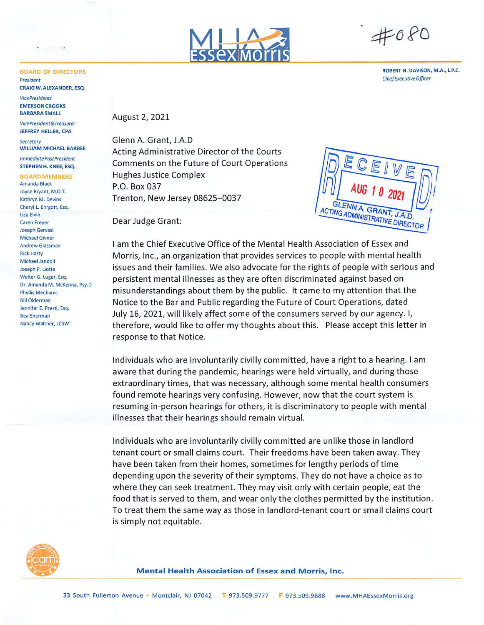

ROBERT **N.** DAVISON, **M.A.,** l.P.C. *Chief Executive Officer* 

**BOARD OF DIRECTORS** *President*  **CRAIG W. ALEXANDER, ESQ.** 

*VicePresidents*  **EMERSON CROOKS BARBARA SMALL** 

*VicePresident& Treasurer*  **JEFFREY HELLER, CPA** 

*Secretary*  **WILLIAM MICHAEL BARBEE** 

*Immediate Past President*  **STEPHEN H. KNEE, ESQ.** 

**ROARD MEMRERS** Amanda Black Joyce Bryant, M.D.T. Kathryn M. Devins Cheryl L. Ehrgott, Esq. *Lisa* Elvin Caren Freyer Joseph Gervasi Michael Givner Andrew *Glassman*  Rick Harty Michael Jandoli Joseph P. Liotta Walter G. Luger, Esq. Dr. Amanda M. McKenna, Psy.D Phyllis Mechanic Bill Olderman Jennifer E. Presti, Esq. Bea Sherman Nancy Walther, LCSW

August 2, 2021

Glenn A. Grant, J.A.D Acting Administrative Director of the Courts Comments on the Future of Court Operations Hughes Justice Complex P.O. Box 037 Trenton, New Jersey 08625-0037

Dear Judge Grant:



I am the Chief Executive Office of the Mental Health Association of Essex and Morris, Inc., an organization that provides services to people with mental health issues and their families. We also advocate for the rights of people with serious and persistent mental illnesses as they are often discriminated against based on misunderstandings about them by the public. It came to my attention that the Notice to the Bar and Public regarding the Future of Court Operations, dated July 16, 2021, will likely affect some of the consumers served by our agency. I, therefore, would like to offer my thoughts about this. Please accept this letter in response to that Notice.

Individuals who are involuntarily civilly committed, have a right to a hearing. I am aware that during the pandemic, hearings were held virtually, and during those extraordinary times, that was necessary, although some mental health consumers found remote hearings very confusing. However, now that the court system is resuming in-person hearings for others, it is discriminatory to people with mental illnesses that their hearings should remain virtual.

Individuals who are involuntarily civilly committed are unlike those in landlord tenant court or small claims court. Their freedoms have been taken away. They have been taken from their homes, sometimes for lengthy periods of time depending upon the severity of their symptoms. They do not have a choice as to where they can seek treatment. They may visit only with certain people, eat the food that is served to them, and wear only the clothes permitted by the institution. To treat them the same way as those in landlord-tenant court or small claims court is simply not equitable.



**Mental Health Association of Essex and Morris, Inc.**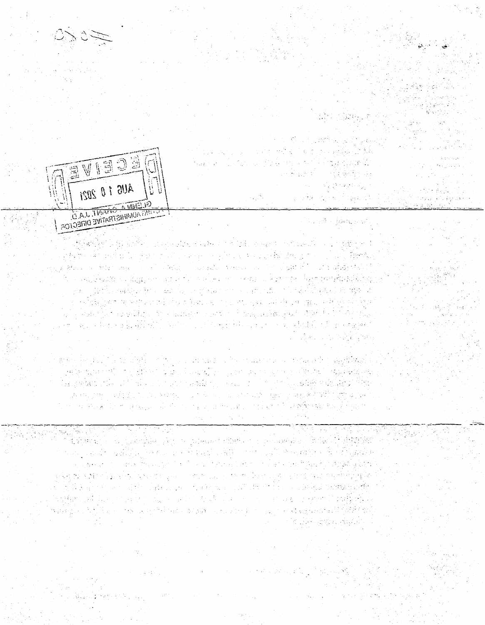



King in the state of the contract of the compact of the state of the second contract of the second contract of<br>The state of the state of the state of the state of the state of the state of the state of the state of the st g ty sky and a language contribution of the case of a laboratory of solid about ) and subset the second specific state  $\mathcal{P}^{\mathcal{N}}$  , which should be subset pend of the same of claim ดน้ำ จะภูมิโจมสัช อ.ศ.สัญญากุล กุลการ ชั้นการ คริโคม กันการ คุณภาพ โรงการ์ตุล กรีมภูมินายสริมโต้มีเป็นโป๊ญ ya milla duwaa uji jirtoo ayo u milla milloo waxaa mid mid duwaa ka ahay ka a e en het. Hert telskit van tallika is keizer, het in de missike van groon het het nillen t

トゥーク クリーン かいしょうしん 1976년 - 기호에 가고 있습니다. **Start Company of the Company of Company** 

(http://www.com/web.com/web/2010)

 $\mathcal{L}_{\text{max}} = 1.35 \times 10^{10} \, \text{Mpc}$  ,  $\mathcal{L}_{\text{max}} = 1.4 \, \text{Mpc}$ 

Martin Britain Sta

. A service de

a se se a construir a comparación de construir a construir de la construir de la construir de la construcción<br>A construir de la construir de la construir de la construir de la construir de la construir de la construir de (A) 网络红色蓝色蓝色的 医外侧的 计不变计算 网络亚洲 医单肢肌的 法法律法律权 a na kalendar States.<br>Kabupatèn Sumalan Sumala

agine (Peans) (Galize Right) which you are provided to the security of a substitute of the Application ykang mana terting tidak terbahan di pada Keluru dan bada dan pelajaran kemudian dapat kemudian telephone at the company last of a second the company of the . A sharp that we describe the North Contract of the contract of the component of the  $\mathbb{R}^n$  light  $\mathbb{Q}_p$  (see Fig. ina a koz inadoju ilatana provinci najkoni la Krazina hizot

t Difference in Segle Andream in the processes of the March of the Process of the Process of the Process of the i mas da ko galija e spola dispozita klub ne njali meganje kolingiske a shi ya kiminci mata matu niyosha kuta kuna kuta mata kuma kati ya mata wa kimi wa katika katika k and the solution and in the set of property of the first product of the set of the solution in the following of ti je kalendarju je naprijedno predstavlja u poznateljima u postao stranovnikom objektiva and and the state of the second companies of the state of the state of the state of the state of the state of the state of the state of the state of the state of the state of the state of the state of the state of the stat  $\label{eq:4} \begin{aligned} \n\mathcal{L}_{\mathcal{A}}^{\mathcal{A}}\left(\mathcal{L}_{\mathcal{A}}^{\mathcal{A}}\right)^{\mathcal{A}}\left(\mathcal{L}_{\mathcal{A}}^{\mathcal{A}}\right)^{\mathcal{A}}\left(\mathcal{L}_{\mathcal{A}}^{\mathcal{A}}\right)^{\mathcal{A}}\left(\mathcal{L}_{\mathcal{A}}^{\mathcal{A}}\right)^{\mathcal{A}}\left(\mathcal{L}_{\mathcal{A}}^{\mathcal{A}}\right)^{\mathcal{A}}\left(\mathcal{L}_{\mathcal{A}}^{\mathcal{A}}\right)^{\mathcal{A}}\left(\mathcal{L$ 

in a Ciba a na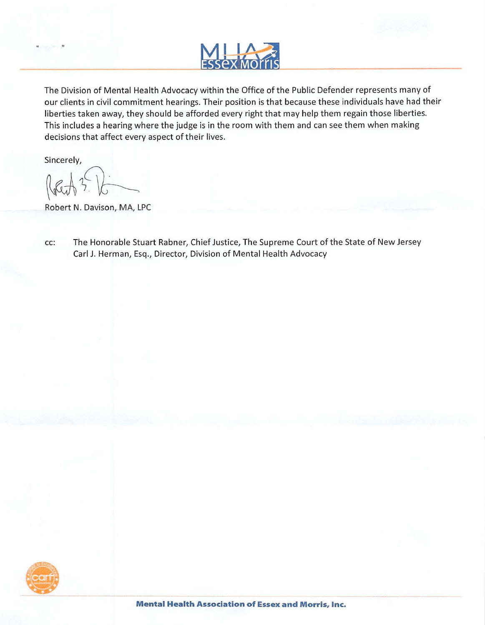

The Division of Mental Health Advocacy within the Office of the Public Defender represents many of our clients in civil commitment hearings. Their position is that because these individuals have had their liberties taken away, they should be afforded every right that may help them regain those liberties. This includes a hearing where the judge is in the room with them and can see them when making decisions that affect every aspect of their lives.

Sincerely,

 $(643)$ 

Robert N. Davison, MA, LPC

cc: The Honorable Stuart Rabner, Chief Justice, The Supreme Court of the State of New Jersey Carl J. Herman, Esq., Director, Division of Mental Health Advocacy